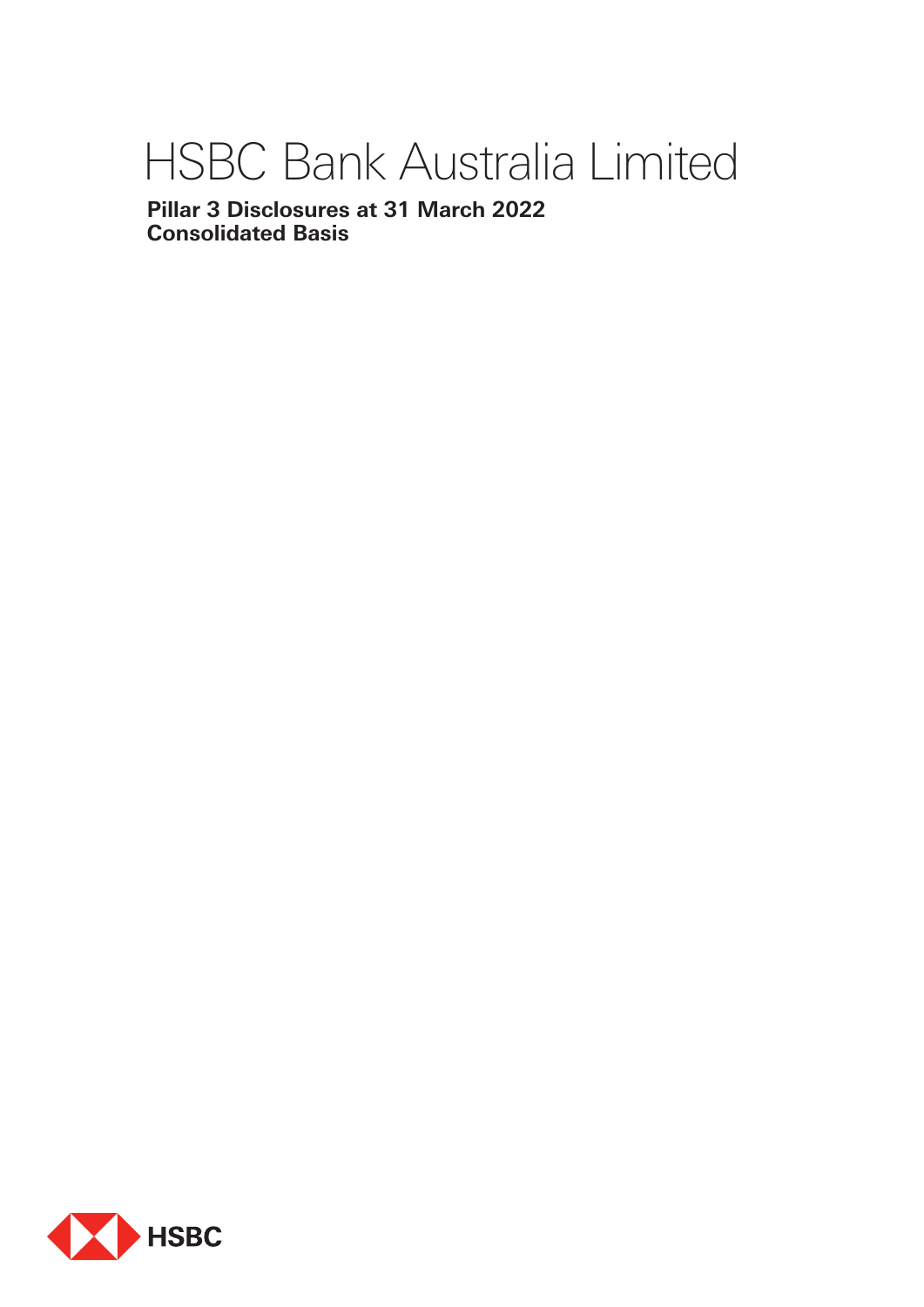# HSBC Bank Australia Limited

**Pillar 3 Disclosures at 31 March 2022 Consolidated Basis**

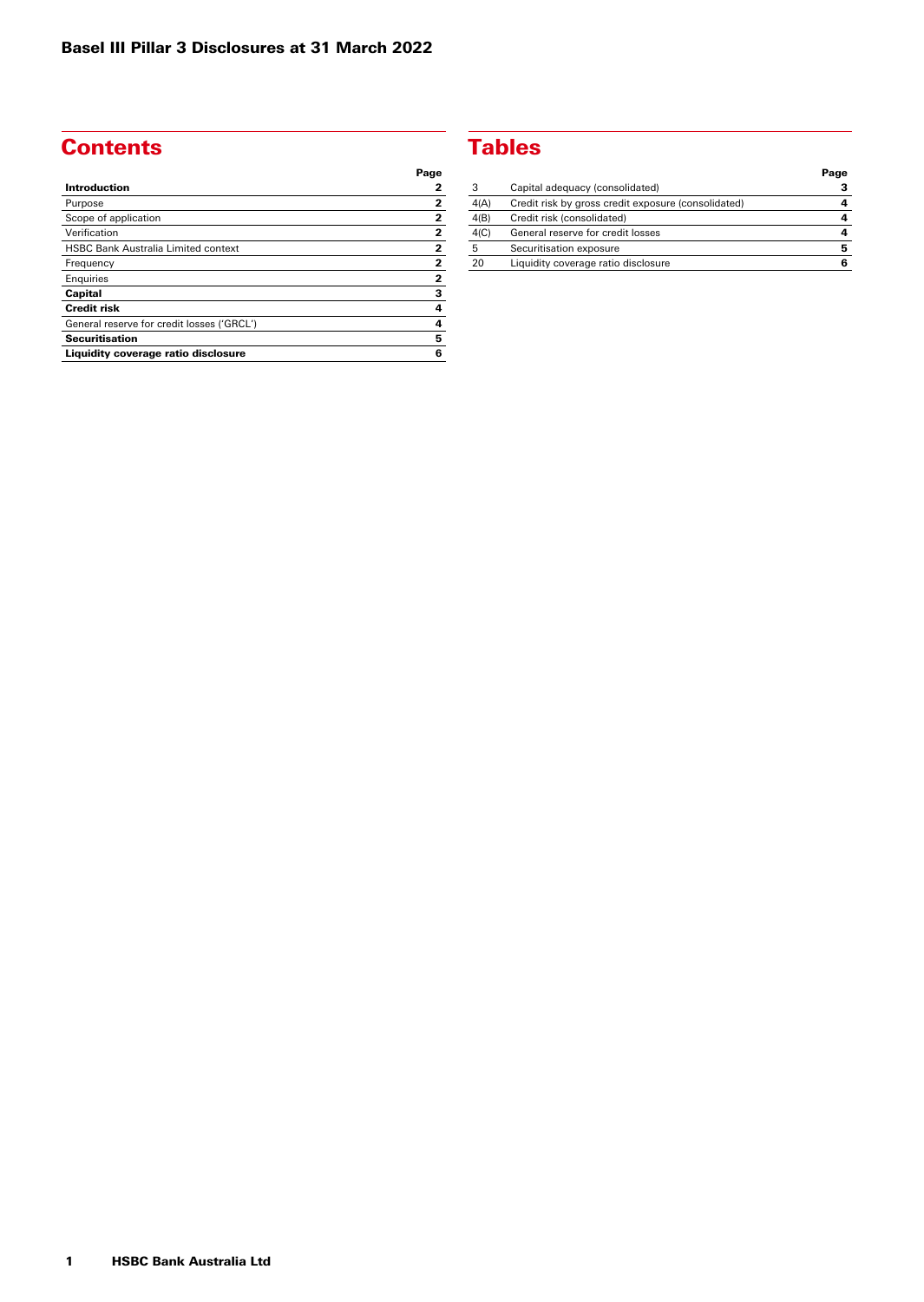# **Contents**

| Page                    |
|-------------------------|
| 2                       |
| $\overline{2}$          |
| $\mathbf{2}$            |
| 2                       |
| $\mathbf{2}$            |
| $\overline{\mathbf{2}}$ |
| $\mathbf 2$             |
| 3                       |
| 4                       |
| 4                       |
| 5                       |
| 6                       |
|                         |

## **Tables**

|      |                                                     | Page |
|------|-----------------------------------------------------|------|
| З    | Capital adequacy (consolidated)                     |      |
| 4(A) | Credit risk by gross credit exposure (consolidated) |      |
| 4(B) | Credit risk (consolidated)                          |      |
| 4(C) | General reserve for credit losses                   | 4    |
| 5    | Securitisation exposure                             | 5    |
| 20   | Liquidity coverage ratio disclosure                 | 6    |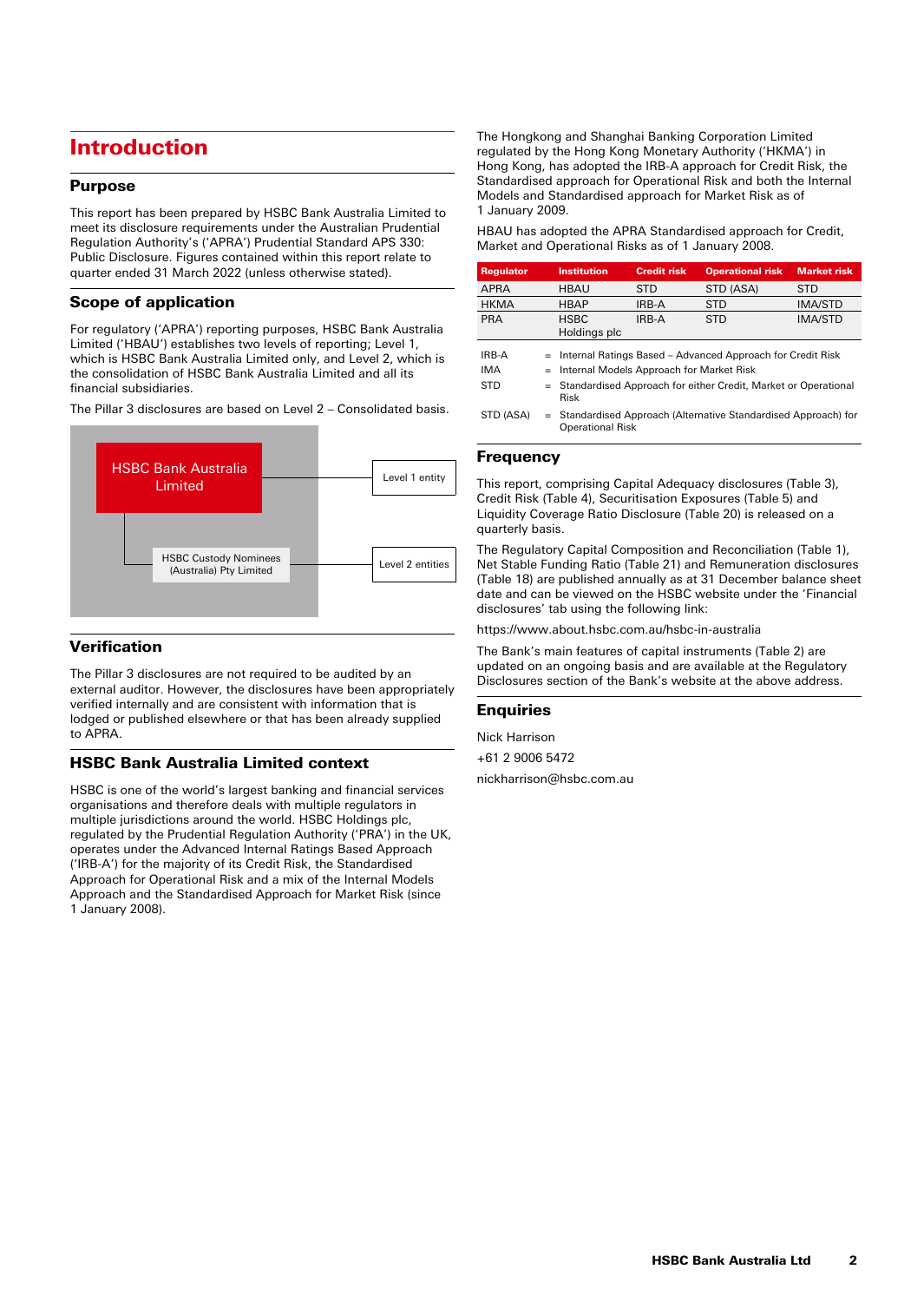# Introduction

### Purpose

This report has been prepared by HSBC Bank Australia Limited to meet its disclosure requirements under the Australian Prudential Regulation Authority's ('APRA') Prudential Standard APS 330: Public Disclosure. Figures contained within this report relate to quarter ended 31 March 2022 (unless otherwise stated).

### Scope of application

For regulatory ('APRA') reporting purposes, HSBC Bank Australia Limited ('HBAU') establishes two levels of reporting; Level 1, which is HSBC Bank Australia Limited only, and Level 2, which is the consolidation of HSBC Bank Australia Limited and all its financial subsidiaries.

The Pillar 3 disclosures are based on Level 2 – Consolidated basis.



### **Verification**

The Pillar 3 disclosures are not required to be audited by an external auditor. However, the disclosures have been appropriately verified internally and are consistent with information that is lodged or published elsewhere or that has been already supplied to APRA.

### HSBC Bank Australia Limited context

HSBC is one of the world's largest banking and financial services organisations and therefore deals with multiple regulators in multiple jurisdictions around the world. HSBC Holdings plc, regulated by the Prudential Regulation Authority ('PRA') in the UK, operates under the Advanced Internal Ratings Based Approach ('IRB-A') for the majority of its Credit Risk, the Standardised Approach for Operational Risk and a mix of the Internal Models Approach and the Standardised Approach for Market Risk (since 1 January 2008).

The Hongkong and Shanghai Banking Corporation Limited regulated by the Hong Kong Monetary Authority ('HKMA') in Hong Kong, has adopted the IRB-A approach for Credit Risk, the Standardised approach for Operational Risk and both the Internal Models and Standardised approach for Market Risk as of 1 January 2009.

HBAU has adopted the APRA Standardised approach for Credit, Market and Operational Risks as of 1 January 2008.

| <b>Regulator</b>                                                      | <b>Institution</b>                       | <b>Credit risk</b> | <b>Operational risk</b>                                        | <b>Market risk</b> |  |
|-----------------------------------------------------------------------|------------------------------------------|--------------------|----------------------------------------------------------------|--------------------|--|
| <b>APRA</b>                                                           | HBAU                                     | <b>STD</b>         | STD (ASA)                                                      | <b>STD</b>         |  |
| <b>HKMA</b>                                                           | <b>HBAP</b>                              | IRB-A              | <b>STD</b>                                                     | <b>IMA/STD</b>     |  |
| <b>PRA</b>                                                            | <b>HSBC</b><br>Holdings plc              | IRB-A              | <b>STD</b>                                                     | <b>IMA/STD</b>     |  |
| IRB-A<br>= Internal Ratings Based – Advanced Approach for Credit Risk |                                          |                    |                                                                |                    |  |
| <b>IMA</b>                                                            | Internal Models Approach for Market Risk |                    |                                                                |                    |  |
| <b>STD</b>                                                            | $=$<br>Risk                              |                    | Standardised Approach for either Credit, Market or Operational |                    |  |
| STD (ASA)                                                             | <b>Operational Risk</b>                  |                    | Standardised Approach (Alternative Standardised Approach) for  |                    |  |

#### **Frequency**

This report, comprising Capital Adequacy disclosures (Table 3), Credit Risk (Table 4), Securitisation Exposures (Table 5) and Liquidity Coverage Ratio Disclosure (Table 20) is released on a quarterly basis.

The Regulatory Capital Composition and Reconciliation (Table 1), Net Stable Funding Ratio (Table 21) and Remuneration disclosures (Table 18) are published annually as at 31 December balance sheet date and can be viewed on the HSBC website under the 'Financial disclosures' tab using the following link:

https://www.about.hsbc.com.au/hsbc-in-australia

The Bank's main features of capital instruments (Table 2) are updated on an ongoing basis and are available at the Regulatory Disclosures section of the Bank's website at the above address.

#### **Enquiries**

Nick Harrison

+61 2 9006 5472

nickharrison@hsbc.com.au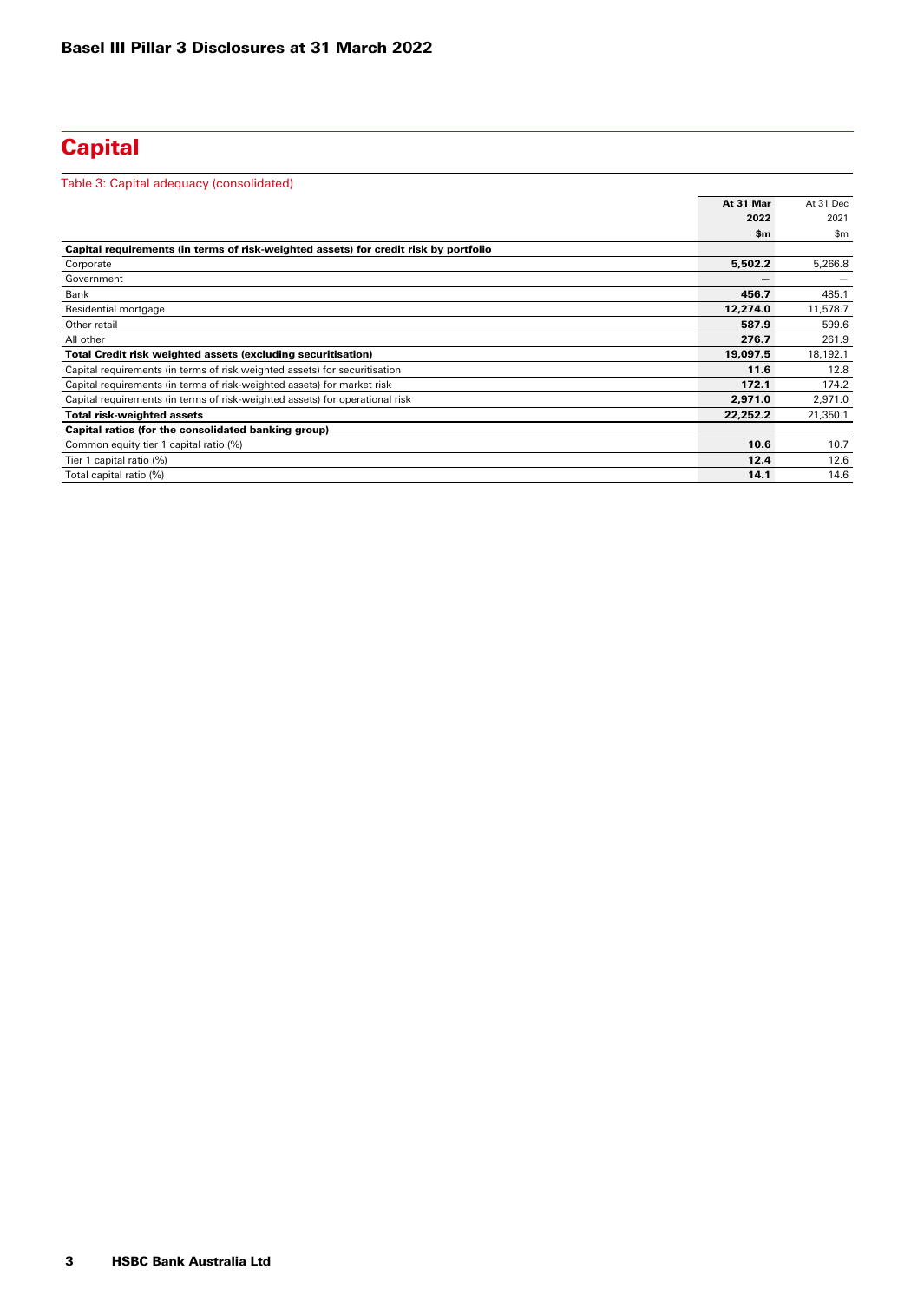# **Capital**

| Table 3: Capital adequacy (consolidated)                                             |           |               |
|--------------------------------------------------------------------------------------|-----------|---------------|
|                                                                                      | At 31 Mar | At 31 Dec     |
|                                                                                      | 2022      | 2021          |
|                                                                                      | \$m       | $\mathsf{Sm}$ |
| Capital requirements (in terms of risk-weighted assets) for credit risk by portfolio |           |               |
| Corporate                                                                            | 5,502.2   | 5,266.8       |
| Government                                                                           | -         |               |
| Bank                                                                                 | 456.7     | 485.1         |
| Residential mortgage                                                                 | 12,274.0  | 11,578.7      |
| Other retail                                                                         | 587.9     | 599.6         |
| All other                                                                            | 276.7     | 261.9         |
| Total Credit risk weighted assets (excluding securitisation)                         | 19,097.5  | 18,192.1      |
| Capital requirements (in terms of risk weighted assets) for securitisation           | 11.6      | 12.8          |
| Capital requirements (in terms of risk-weighted assets) for market risk              | 172.1     | 174.2         |
| Capital requirements (in terms of risk-weighted assets) for operational risk         | 2,971.0   | 2,971.0       |
| <b>Total risk-weighted assets</b>                                                    | 22,252.2  | 21,350.1      |
| Capital ratios (for the consolidated banking group)                                  |           |               |
| Common equity tier 1 capital ratio (%)                                               | 10.6      | 10.7          |
| Tier 1 capital ratio (%)                                                             | 12.4      | 12.6          |
| Total capital ratio (%)                                                              | 14.1      | 14.6          |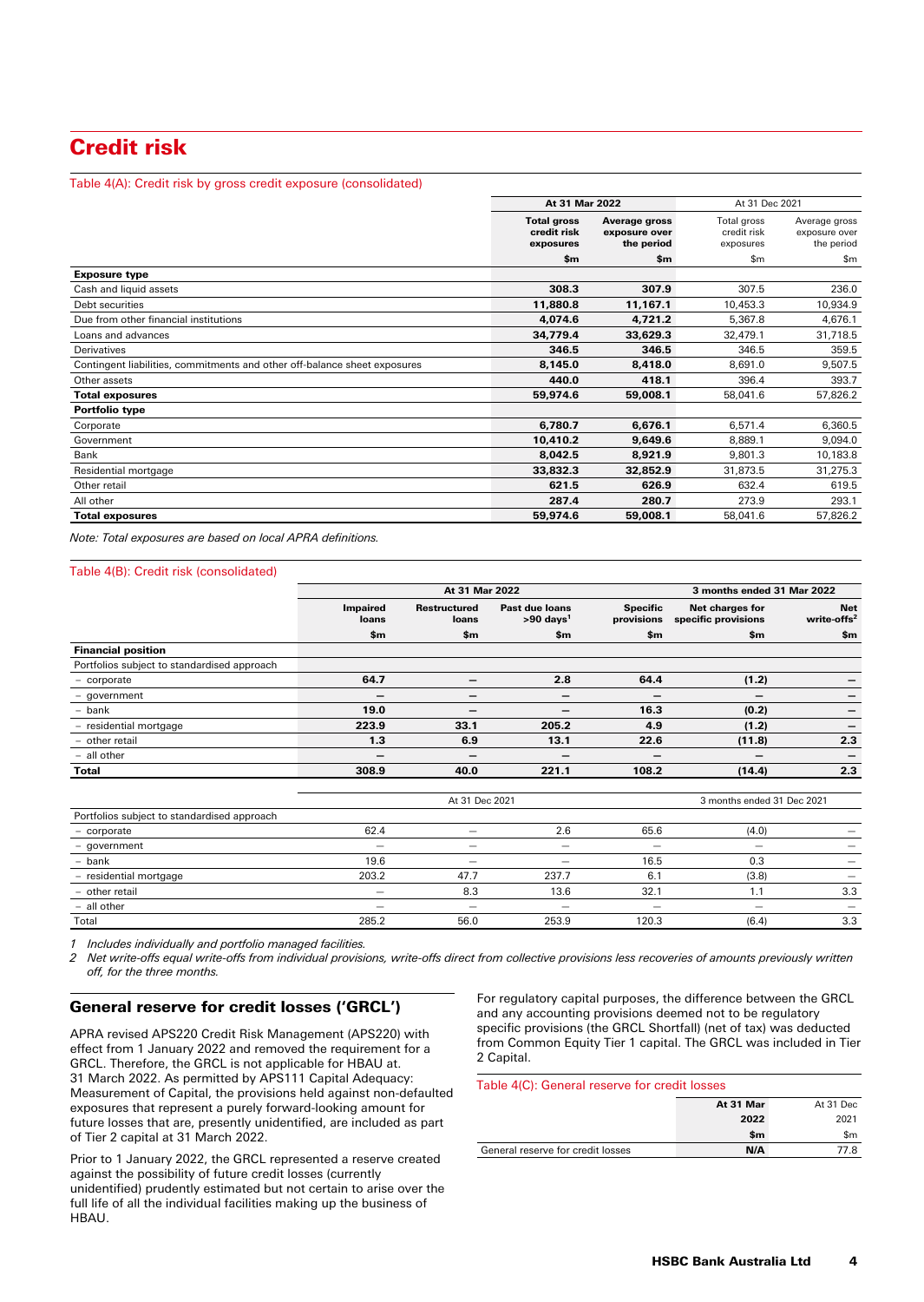# Credit risk

#### Table 4(A): Credit risk by gross credit exposure (consolidated)

|                                                                           | At 31 Mar 2022                                 |                                              | At 31 Dec 2021                          |                                              |
|---------------------------------------------------------------------------|------------------------------------------------|----------------------------------------------|-----------------------------------------|----------------------------------------------|
|                                                                           | <b>Total gross</b><br>credit risk<br>exposures | Average gross<br>exposure over<br>the period | Total gross<br>credit risk<br>exposures | Average gross<br>exposure over<br>the period |
|                                                                           | \$m                                            | \$m                                          | \$m                                     | \$m                                          |
| <b>Exposure type</b>                                                      |                                                |                                              |                                         |                                              |
| Cash and liquid assets                                                    | 308.3                                          | 307.9                                        | 307.5                                   | 236.0                                        |
| Debt securities                                                           | 11,880.8                                       | 11,167.1                                     | 10,453.3                                | 10,934.9                                     |
| Due from other financial institutions                                     | 4,074.6                                        | 4,721.2                                      | 5,367.8                                 | 4,676.1                                      |
| Loans and advances                                                        | 34,779.4                                       | 33,629.3                                     | 32,479.1                                | 31,718.5                                     |
| Derivatives                                                               | 346.5                                          | 346.5                                        | 346.5                                   | 359.5                                        |
| Contingent liabilities, commitments and other off-balance sheet exposures | 8.145.0                                        | 8,418.0                                      | 8.691.0                                 | 9,507.5                                      |
| Other assets                                                              | 440.0                                          | 418.1                                        | 396.4                                   | 393.7                                        |
| <b>Total exposures</b>                                                    | 59,974.6                                       | 59,008.1                                     | 58,041.6                                | 57,826.2                                     |
| <b>Portfolio type</b>                                                     |                                                |                                              |                                         |                                              |
| Corporate                                                                 | 6,780.7                                        | 6,676.1                                      | 6,571.4                                 | 6,360.5                                      |
| Government                                                                | 10,410.2                                       | 9,649.6                                      | 8,889.1                                 | 9,094.0                                      |
| Bank                                                                      | 8,042.5                                        | 8,921.9                                      | 9,801.3                                 | 10,183.8                                     |
| Residential mortgage                                                      | 33,832.3                                       | 32,852.9                                     | 31,873.5                                | 31,275.3                                     |
| Other retail                                                              | 621.5                                          | 626.9                                        | 632.4                                   | 619.5                                        |
| All other                                                                 | 287.4                                          | 280.7                                        | 273.9                                   | 293.1                                        |
| <b>Total exposures</b>                                                    | 59,974.6                                       | 59,008.1                                     | 58,041.6                                | 57,826.2                                     |

*Note: Total exposures are based on local APRA definitions.*

#### Table 4(B): Credit risk (consolidated)

|                                             |                          | At 31 Mar 2022               |                                           |                               | 3 months ended 31 Mar 2022             |                                       |
|---------------------------------------------|--------------------------|------------------------------|-------------------------------------------|-------------------------------|----------------------------------------|---------------------------------------|
|                                             | <b>Impaired</b><br>loans | <b>Restructured</b><br>loans | Past due loans<br>$>90$ days <sup>1</sup> | <b>Specific</b><br>provisions | Net charges for<br>specific provisions | <b>Net</b><br>write-offs <sup>2</sup> |
|                                             | \$m                      | \$m                          | \$m\$                                     | \$m                           | \$m                                    | \$m\$                                 |
| <b>Financial position</b>                   |                          |                              |                                           |                               |                                        |                                       |
| Portfolios subject to standardised approach |                          |                              |                                           |                               |                                        |                                       |
| - corporate                                 | 64.7                     | -                            | 2.8                                       | 64.4                          | (1.2)                                  |                                       |
| - government                                | -                        | -                            | $\overline{\phantom{0}}$                  | -                             | -                                      |                                       |
| - bank                                      | 19.0                     | -                            |                                           | 16.3                          | (0.2)                                  |                                       |
| - residential mortgage                      | 223.9                    | 33.1                         | 205.2                                     | 4.9                           | (1.2)                                  |                                       |
| - other retail                              | 1.3                      | 6.9                          | 13.1                                      | 22.6                          | (11.8)                                 | 2.3                                   |
| - all other                                 | -                        | –                            |                                           | -                             | -                                      |                                       |
| <b>Total</b>                                | 308.9                    | 40.0                         | 221.1                                     | 108.2                         | (14.4)                                 | 2.3                                   |
|                                             |                          |                              |                                           |                               |                                        |                                       |
|                                             |                          | At 31 Dec 2021               |                                           |                               | 3 months ended 31 Dec 2021             |                                       |
| Portfolios subject to standardised approach |                          |                              |                                           |                               |                                        |                                       |
| - corporate                                 | 62.4                     | $\overline{\phantom{0}}$     | 2.6                                       | 65.6                          | (4.0)                                  |                                       |
| - government                                |                          | -                            |                                           | $\overline{\phantom{0}}$      | $\overline{\phantom{0}}$               |                                       |
| - bank                                      | 19.6                     | —                            |                                           | 16.5                          | 0.3                                    |                                       |
| - residential mortgage                      | 203.2                    | 47.7                         | 237.7                                     | 6.1                           | (3.8)                                  |                                       |
| - other retail                              | $\overline{\phantom{m}}$ | 8.3                          | 13.6                                      | 32.1                          | 1.1                                    | 3.3                                   |
| - all other                                 |                          |                              |                                           |                               | $\overline{\phantom{0}}$               |                                       |
| Total                                       | 285.2                    | 56.0                         | 253.9                                     | 120.3                         | (6.4)                                  | 3.3                                   |

*1 Includes individually and portfolio managed facilities.*

*2 Net write-offs equal write-offs from individual provisions, write-offs direct from collective provisions less recoveries of amounts previously written off, for the three months.*

#### General reserve for credit losses ('GRCL')

APRA revised APS220 Credit Risk Management (APS220) with effect from 1 January 2022 and removed the requirement for a GRCL. Therefore, the GRCL is not applicable for HBAU at. 31 March 2022. As permitted by APS111 Capital Adequacy: Measurement of Capital, the provisions held against non-defaulted exposures that represent a purely forward-looking amount for future losses that are, presently unidentified, are included as part of Tier 2 capital at 31 March 2022.

Prior to 1 January 2022, the GRCL represented a reserve created against the possibility of future credit losses (currently unidentified) prudently estimated but not certain to arise over the full life of all the individual facilities making up the business of HBAU.

For regulatory capital purposes, the difference between the GRCL and any accounting provisions deemed not to be regulatory specific provisions (the GRCL Shortfall) (net of tax) was deducted from Common Equity Tier 1 capital. The GRCL was included in Tier 2 Capital.

#### Table 4(C): General reserve for credit losses

|                                   | At 31 Mar | At 31 Dec |
|-----------------------------------|-----------|-----------|
|                                   | 2022      | 2021      |
|                                   | \$m       | \$m       |
| General reserve for credit losses | N/A       | 77.8      |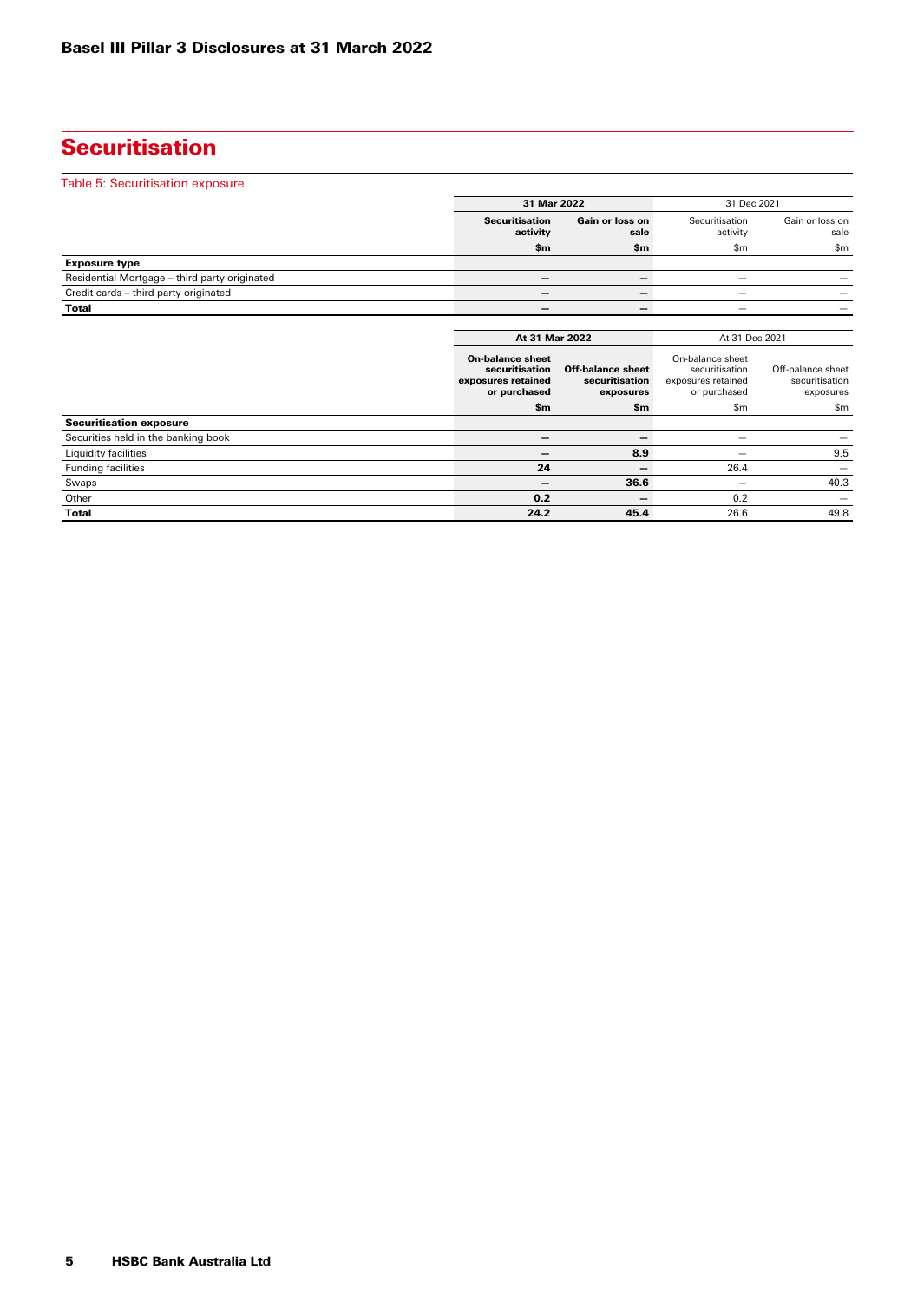# **Securitisation**

| Table 5: Securitisation exposure              |                                                                 |                                     |                                                                            |                                     |
|-----------------------------------------------|-----------------------------------------------------------------|-------------------------------------|----------------------------------------------------------------------------|-------------------------------------|
|                                               |                                                                 | 31 Mar 2022                         |                                                                            | 31 Dec 2021                         |
|                                               | <b>Securitisation</b><br>activity                               | Gain or loss on<br>sale             | Securitisation<br>activity                                                 | Gain or loss on<br>sale             |
|                                               | \$m                                                             | \$m                                 | \$m\$                                                                      | \$m                                 |
| <b>Exposure type</b>                          |                                                                 |                                     |                                                                            |                                     |
| Residential Mortgage - third party originated | $\overline{\phantom{m}}$                                        | $\overline{\phantom{0}}$            |                                                                            |                                     |
| Credit cards - third party originated         |                                                                 |                                     |                                                                            |                                     |
| <b>Total</b>                                  | -                                                               | $\overline{\phantom{0}}$            |                                                                            |                                     |
|                                               |                                                                 | At 31 Mar 2022                      |                                                                            |                                     |
|                                               | <b>On-balance sheet</b><br>securitisation<br>exposures retained | Off-balance sheet<br>securitisation | At 31 Dec 2021<br>On-balance sheet<br>securitisation<br>exposures retained | Off-balance sheet<br>securitisation |
|                                               | or purchased                                                    | exposures                           | or purchased                                                               | exposures                           |
|                                               | \$m                                                             | \$m                                 | \$m\$                                                                      | \$m                                 |
| <b>Securitisation exposure</b>                |                                                                 |                                     |                                                                            |                                     |
| Securities held in the banking book           |                                                                 |                                     |                                                                            |                                     |
| Liquidity facilities                          | -                                                               | 8.9                                 |                                                                            | 9.5                                 |
| <b>Funding facilities</b>                     | 24                                                              | $\overline{\phantom{0}}$            | 26.4                                                                       |                                     |
| Swaps                                         |                                                                 | 36.6                                |                                                                            | 40.3                                |
| Other                                         | 0.2                                                             |                                     | 0.2                                                                        | —                                   |
| <b>Total</b>                                  | 24.2                                                            | 45.4                                | 26.6                                                                       | 49.8                                |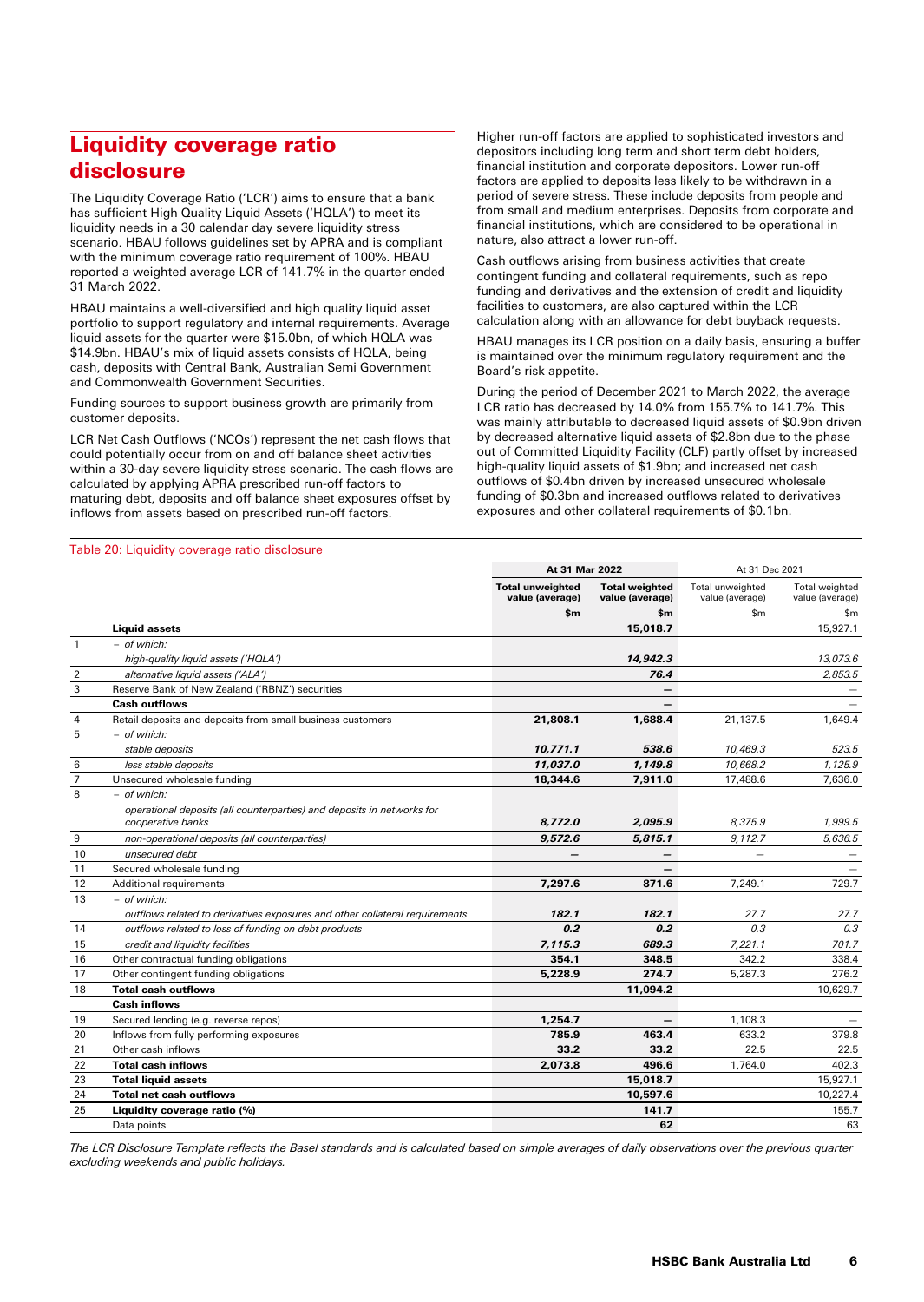# Liquidity coverage ratio disclosure

The Liquidity Coverage Ratio ('LCR') aims to ensure that a bank has sufficient High Quality Liquid Assets ('HQLA') to meet its liquidity needs in a 30 calendar day severe liquidity stress scenario. HBAU follows guidelines set by APRA and is compliant with the minimum coverage ratio requirement of 100%. HBAU reported a weighted average LCR of 141.7% in the quarter ended 31 March 2022.

HBAU maintains a well-diversified and high quality liquid asset portfolio to support regulatory and internal requirements. Average liquid assets for the quarter were \$15.0bn, of which HQLA was \$14.9bn. HBAU's mix of liquid assets consists of HQLA, being cash, deposits with Central Bank, Australian Semi Government and Commonwealth Government Securities.

Funding sources to support business growth are primarily from customer deposits.

LCR Net Cash Outflows ('NCOs') represent the net cash flows that could potentially occur from on and off balance sheet activities within a 30-day severe liquidity stress scenario. The cash flows are calculated by applying APRA prescribed run-off factors to maturing debt, deposits and off balance sheet exposures offset by inflows from assets based on prescribed run-off factors.

Higher run-off factors are applied to sophisticated investors and depositors including long term and short term debt holders, financial institution and corporate depositors. Lower run-off factors are applied to deposits less likely to be withdrawn in a period of severe stress. These include deposits from people and from small and medium enterprises. Deposits from corporate and financial institutions, which are considered to be operational in nature, also attract a lower run-off.

Cash outflows arising from business activities that create contingent funding and collateral requirements, such as repo funding and derivatives and the extension of credit and liquidity facilities to customers, are also captured within the LCR calculation along with an allowance for debt buyback requests.

HBAU manages its LCR position on a daily basis, ensuring a buffer is maintained over the minimum regulatory requirement and the Board's risk appetite.

During the period of December 2021 to March 2022, the average LCR ratio has decreased by 14.0% from 155.7% to 141.7%. This was mainly attributable to decreased liquid assets of \$0.9bn driven by decreased alternative liquid assets of \$2.8bn due to the phase out of Committed Liquidity Facility (CLF) partly offset by increased high-quality liquid assets of \$1.9bn; and increased net cash outflows of \$0.4bn driven by increased unsecured wholesale funding of \$0.3bn and increased outflows related to derivatives exposures and other collateral requirements of \$0.1bn.

#### Table 20: Liquidity coverage ratio disclosure

|                |                                                                                             | At 31 Mar 2022                             |                                          | At 31 Dec 2021                      |                                          |
|----------------|---------------------------------------------------------------------------------------------|--------------------------------------------|------------------------------------------|-------------------------------------|------------------------------------------|
|                |                                                                                             | <b>Total unweighted</b><br>value (average) | <b>Total weighted</b><br>value (average) | Total unweighted<br>value (average) | <b>Total weighted</b><br>value (average) |
|                |                                                                                             | \$m                                        | \$m                                      | \$m\$                               | \$m                                      |
|                | <b>Liquid assets</b>                                                                        |                                            | 15,018.7                                 |                                     | 15,927.1                                 |
| $\mathbf{1}$   | - of which:                                                                                 |                                            |                                          |                                     |                                          |
|                | high-quality liquid assets ('HQLA')                                                         |                                            | 14,942.3                                 |                                     | 13,073.6                                 |
| $\overline{2}$ | alternative liquid assets ('ALA')                                                           |                                            | 76.4                                     |                                     | 2.853.5                                  |
| 3              | Reserve Bank of New Zealand ('RBNZ') securities                                             |                                            | $\overline{\phantom{0}}$                 |                                     |                                          |
|                | <b>Cash outflows</b>                                                                        |                                            |                                          |                                     |                                          |
| 4              | Retail deposits and deposits from small business customers                                  | 21,808.1                                   | 1,688.4                                  | 21,137.5                            | 1,649.4                                  |
| 5              | - of which:                                                                                 |                                            |                                          |                                     |                                          |
|                | stable deposits                                                                             | 10,771.1                                   | 538.6                                    | 10.469.3                            | 523.5                                    |
| 6              | less stable deposits                                                                        | 11,037.0                                   | 1,149.8                                  | 10,668.2                            | 1,125.9                                  |
| $\overline{7}$ | Unsecured wholesale funding                                                                 | 18,344.6                                   | 7,911.0                                  | 17,488.6                            | 7,636.0                                  |
| 8              | - of which:                                                                                 |                                            |                                          |                                     |                                          |
|                | operational deposits (all counterparties) and deposits in networks for<br>cooperative banks | 8.772.0                                    | 2.095.9                                  | 8.375.9                             | 1.999.5                                  |
| 9              | non-operational deposits (all counterparties)                                               | 9,572.6                                    | 5,815.1                                  | 9,112.7                             | 5,636.5                                  |
| 10             | unsecured debt                                                                              |                                            | $\overline{\phantom{0}}$                 |                                     |                                          |
| 11             | Secured wholesale funding                                                                   |                                            |                                          |                                     |                                          |
| 12             | Additional requirements                                                                     | 7.297.6                                    | 871.6                                    | 7.249.1                             | 729.7                                    |
| 13             | - of which:                                                                                 |                                            |                                          |                                     |                                          |
|                | outflows related to derivatives exposures and other collateral requirements                 | 182.1                                      | 182.1                                    | 27.7                                | 27.7                                     |
| 14             | outflows related to loss of funding on debt products                                        | 0.2                                        | 0.2                                      | 0.3                                 | 0.3                                      |
| 15             | credit and liquidity facilities                                                             | 7.115.3                                    | 689.3                                    | 7,221.1                             | 701.7                                    |
| 16             | Other contractual funding obligations                                                       | 354.1                                      | 348.5                                    | 342.2                               | 338.4                                    |
| 17             | Other contingent funding obligations                                                        | 5,228.9                                    | 274.7                                    | 5,287.3                             | 276.2                                    |
| 18             | <b>Total cash outflows</b>                                                                  |                                            | 11,094.2                                 |                                     | 10,629.7                                 |
|                | <b>Cash inflows</b>                                                                         |                                            |                                          |                                     |                                          |
| 19             | Secured lending (e.g. reverse repos)                                                        | 1,254.7                                    | -                                        | 1,108.3                             |                                          |
| 20             | Inflows from fully performing exposures                                                     | 785.9                                      | 463.4                                    | 633.2                               | 379.8                                    |
| 21             | Other cash inflows                                                                          | 33.2                                       | 33.2                                     | 22.5                                | 22.5                                     |
| 22             | <b>Total cash inflows</b>                                                                   | 2,073.8                                    | 496.6                                    | 1,764.0                             | 402.3                                    |
| 23             | <b>Total liquid assets</b>                                                                  |                                            | 15,018.7                                 |                                     | 15,927.1                                 |
| 24             | <b>Total net cash outflows</b>                                                              |                                            | 10,597.6                                 |                                     | 10,227.4                                 |
| 25             | Liquidity coverage ratio (%)                                                                |                                            | 141.7                                    |                                     | 155.7                                    |
|                | Data points                                                                                 |                                            | 62                                       |                                     | 63                                       |

*The LCR Disclosure Template reflects the Basel standards and is calculated based on simple averages of daily observations over the previous quarter excluding weekends and public holidays.*